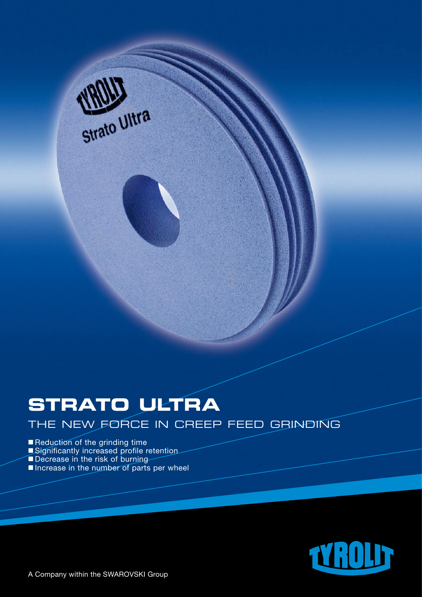

# **STRATO ULTRA**

THE NEW FORCE IN CREEP FEED GRINDING

### Reduction of the grinding time

- **Significantly increased profile retention**
- Decrease in the risk of burning
- Increase in the number of parts per wheel

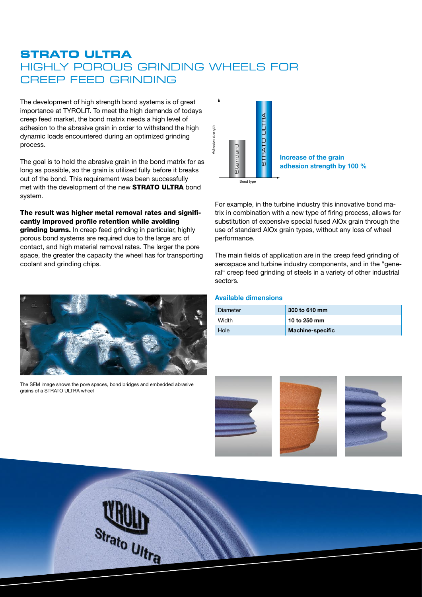# **STRATO ULTRA**  HIGHLY POROUS GRINDING WHEELS FOR CREEP FEED GRINDING

The development of high strength bond systems is of great importance at TYROLIT. To meet the high demands of todays creep feed market, the bond matrix needs a high level of adhesion to the abrasive grain in order to withstand the high dynamic loads encountered during an optimized grinding process.

The goal is to hold the abrasive grain in the bond matrix for as long as possible, so the grain is utilized fully before it breaks out of the bond. This requirement was been successfully met with the development of the new **STRATO ULTRA** bond system.

The result was higher metal removal rates and significantly improved profile retention while avoiding grinding burns. In creep feed grinding in particular, highly porous bond systems are required due to the large arc of contact, and high material removal rates. The larger the pore space, the greater the capacity the wheel has for transporting coolant and grinding chips.



The SEM image shows the pore spaces, bond bridges and embedded abrasive grains of a STRATO ULTRA wheel



For example, in the turbine industry this innovative bond matrix in combination with a new type of firing process, allows for substitution of expensive special fused AlOx grain through the use of standard AlOx grain types, without any loss of wheel performance.

The main fields of application are in the creep feed grinding of aerospace and turbine industry components, and in the "general" creep feed grinding of steels in a variety of other industrial sectors.

#### **Available dimensions**

| Diameter | 300 to 610 mm           |
|----------|-------------------------|
| Width    | 10 to 250 mm            |
| Hole     | <b>Machine-specific</b> |







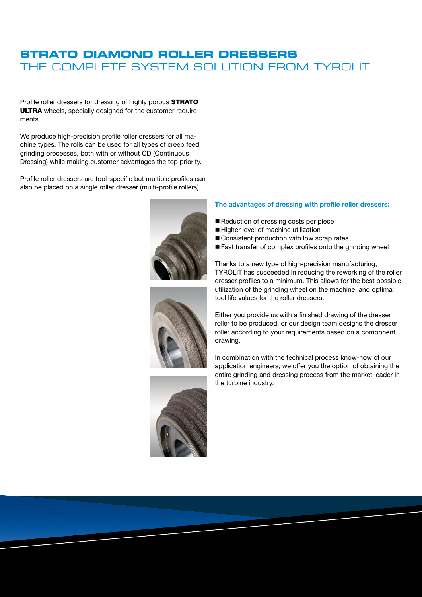## **STRATO DIAMOND ROLLER DRESSERS** THE COMPLETE SYSTEM SOLUTION FROM TYROLIT

Profile roller dressers for dressing of highly porous STRATO ULTRA wheels, specially designed for the customer requirements.

We produce high-precision profile roller dressers for all machine types. The rolls can be used for all types of creep feed grinding processes, both with or without CD (Continuous Dressing) while making customer advantages the top priority.

Profile roller dressers are tool-specific but multiple profiles can also be placed on a single roller dresser (multi-profile rollers).







#### **The advantages of dressing with profile roller dressers:**

- Reduction of dressing costs per piece
- Higher level of machine utilization
- $\blacksquare$  Consistent production with low scrap rates
- $\blacksquare$  Fast transfer of complex profiles onto the grinding wheel

Thanks to a new type of high-precision manufacturing, TYROLIT has succeeded in reducing the reworking of the roller dresser profiles to a minimum. This allows for the best possible utilization of the grinding wheel on the machine, and optimal tool life values for the roller dressers.

Either you provide us with a finished drawing of the dresser roller to be produced, or our design team designs the dresser roller according to your requirements based on a component drawing.

In combination with the technical process know-how of our application engineers, we offer you the option of obtaining the entire grinding and dressing process from the market leader in the turbine industry.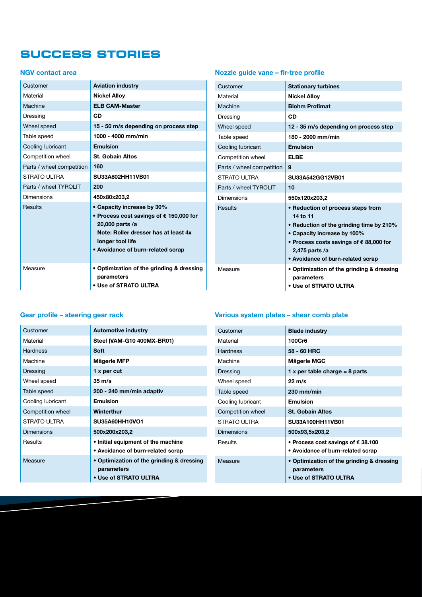# **SUCCESS STORIES**

#### **NGV contact area**

| Customer                  | <b>Aviation industry</b>                                                                                                                                                                           |
|---------------------------|----------------------------------------------------------------------------------------------------------------------------------------------------------------------------------------------------|
| Material                  | <b>Nickel Alloy</b>                                                                                                                                                                                |
| Machine                   | <b>ELB CAM-Master</b>                                                                                                                                                                              |
| Dressing                  | CD                                                                                                                                                                                                 |
| Wheel speed               | 15 - 50 m/s depending on process step                                                                                                                                                              |
| Table speed               | 1000 - 4000 mm/min                                                                                                                                                                                 |
| Cooling lubricant         | <b>Emulsion</b>                                                                                                                                                                                    |
| Competition wheel         | <b>St. Gobain Altos</b>                                                                                                                                                                            |
| Parts / wheel competition | 160                                                                                                                                                                                                |
| STRATO ULTRA              | SU33A802HH11VB01                                                                                                                                                                                   |
| Parts / wheel TYROLIT     | 200                                                                                                                                                                                                |
| Dimensions                | 450x80x203,2                                                                                                                                                                                       |
| Results                   | • Capacity increase by 30%<br>• Process cost savings of $\epsilon$ 150,000 for<br>20,000 parts /a<br>Note: Roller dresser has at least 4x<br>longer tool life<br>• Avoidance of burn-related scrap |
| Measure                   | • Optimization of the grinding & dressing<br>parameters<br>• Use of STRATO ULTRA                                                                                                                   |

## **Nozzle guide vane – fir-tree profile**

| Customer                  | <b>Stationary turbines</b>                                              |
|---------------------------|-------------------------------------------------------------------------|
| Material                  | <b>Nickel Alloy</b>                                                     |
| Machine                   | <b>Blohm Profimat</b>                                                   |
| Dressing                  | CD                                                                      |
| Wheel speed               | 12 - 35 m/s depending on process step                                   |
| Table speed               | 180 - 2000 mm/min                                                       |
| Cooling lubricant         | <b>Emulsion</b>                                                         |
| Competition wheel         | <b>ELBE</b>                                                             |
| Parts / wheel competition | 9                                                                       |
| STRATO ULTRA              | SU33A542GG12VB01                                                        |
| Parts / wheel TYROLIT     | 10                                                                      |
| Dimensions                | 550x120x203,2                                                           |
| Results                   | • Reduction of process steps from                                       |
|                           | 14 to 11                                                                |
|                           | • Reduction of the grinding time by 210%<br>• Capacity increase by 100% |
|                           | • Process costs savings of $\epsilon$ 88,000 for                        |
|                           | 2,475 parts /a                                                          |
|                           | • Avoidance of burn-related scrap                                       |
| Measure                   | • Optimization of the grinding & dressing<br>parameters                 |
|                           | • Use of STRATO ULTRA                                                   |

## **Gear profile – steering gear rack**

| Customer          | <b>Automotive industry</b>                              |
|-------------------|---------------------------------------------------------|
| Material          | Steel (VAM-G10 400MX-BR01)                              |
| Hardness          | Soft                                                    |
| Machine           | Mägerle MFP                                             |
| Dressing          | 1 x per cut                                             |
| Wheel speed       | $35 \text{ m/s}$                                        |
| Table speed       | 200 - 240 mm/min adaptiv                                |
| Cooling lubricant | <b>Emulsion</b>                                         |
| Competition wheel | Winterthur                                              |
| STRATO ULTRA      | SU35A60HH10VO1                                          |
| Dimensions        | 500x200x203,2                                           |
| Results           | • Initial equipment of the machine                      |
|                   | • Avoidance of burn-related scrap                       |
| Measure           | • Optimization of the grinding & dressing<br>parameters |
|                   | • Use of STRATO ULTRA                                   |

## **Various system plates – shear comb plate**

| <b>Blade industry</b>                       |
|---------------------------------------------|
| 100Cr6                                      |
| 58 - 60 HRC                                 |
| Mägerle MGC                                 |
| 1 x per table charge = $8$ parts            |
| $22 \text{ m/s}$                            |
| $230$ mm/min                                |
| Emulsion                                    |
| <b>St. Gobain Altos</b>                     |
| SU33A100HH11VB01                            |
| 500x93,5x203,2                              |
| • Process cost savings of $\epsilon$ 38.100 |
| • Avoidance of burn-related scrap           |
| • Optimization of the grinding & dressing   |
| parameters                                  |
| • Use of STRATO ULTRA                       |
|                                             |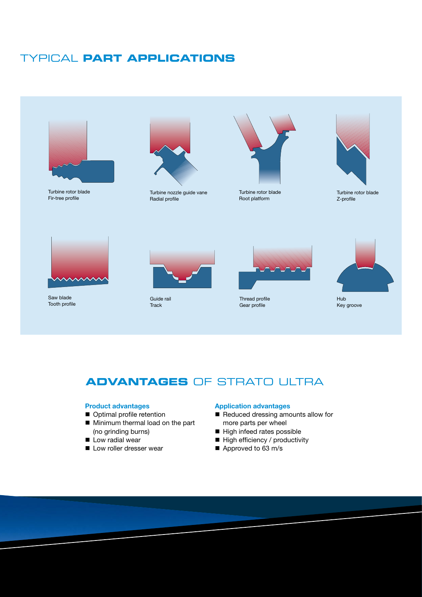# TYPICAL **PART APPLICATIONS**



Turbine rotor blade Fir-tree profile



Turbine nozzle guide vane Radial profile



Turbine rotor blade Root platform



Turbine rotor blade Z-profile



Saw blade Tooth profile



Guide rail **Track** 



Thread profile Gear profile



Key groove

# **ADVANTAGES** OF STRATO ULTRA

#### **Product advantages**

- **n** Optimal profile retention
- Minimum thermal load on the part (no grinding burns)
- Low radial wear
- **n** Low roller dresser wear

#### **Application advantages**

- Reduced dressing amounts allow for more parts per wheel
- $\blacksquare$  High infeed rates possible
- $\blacksquare$  High efficiency / productivity
- $\blacksquare$  Approved to 63 m/s